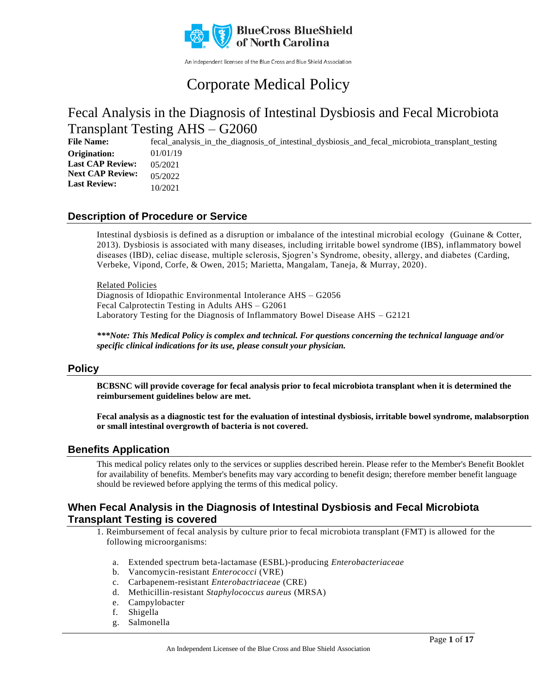

An independent licensee of the Blue Cross and Blue Shield Association

# Corporate Medical Policy

## Fecal Analysis in the Diagnosis of Intestinal Dysbiosis and Fecal Microbiota Transplant Testing AHS – G2060

**File Name:** fecal\_analysis\_in\_the\_diagnosis\_of\_intestinal\_dysbiosis\_and\_fecal\_microbiota\_transplant\_testing 01/01/19 05/2021 05/2022 10/2021 **Origination: Last CAP Review: Next CAP Review: Last Review:**

### **Description of Procedure or Service**

Intestinal dysbiosis is defined as a disruption or imbalance of the intestinal microbial ecology (Guinane & Cotter, 2013). Dysbiosis is associated with many diseases, including irritable bowel syndrome (IBS), inflammatory bowel diseases (IBD), celiac disease, multiple sclerosis, Sjogren's Syndrome, obesity, allergy, and diabetes (Carding, Verbeke, Vipond, Corfe, & Owen, 2015; Marietta, Mangalam, Taneja, & Murray, 2020).

#### Related Policies

Diagnosis of Idiopathic Environmental Intolerance AHS – G2056 Fecal Calprotectin Testing in Adults AHS – G2061 Laboratory Testing for the Diagnosis of Inflammatory Bowel Disease AHS – G2121

*\*\*\*Note: This Medical Policy is complex and technical. For questions concerning the technical language and/or specific clinical indications for its use, please consult your physician.*

### **Policy**

**BCBSNC will provide coverage for fecal analysis prior to fecal microbiota transplant when it is determined the reimbursement guidelines below are met.**

**Fecal analysis as a diagnostic test for the evaluation of intestinal dysbiosis, irritable bowel syndrome, malabsorption or small intestinal overgrowth of bacteria is not covered.**

### **Benefits Application**

This medical policy relates only to the services or supplies described herein. Please refer to the Member's Benefit Booklet for availability of benefits. Member's benefits may vary according to benefit design; therefore member benefit language should be reviewed before applying the terms of this medical policy.

### **When Fecal Analysis in the Diagnosis of Intestinal Dysbiosis and Fecal Microbiota Transplant Testing is covered**

1. Reimbursement of fecal analysis by culture prior to fecal microbiota transplant (FMT) is allowed for the following microorganisms:

- a. Extended spectrum beta-lactamase (ESBL)-producing *Enterobacteriaceae*
- b. Vancomycin-resistant *Enterococci* (VRE)
- c. Carbapenem-resistant *Enterobactriaceae* (CRE)
- d. Methicillin-resistant *Staphylococcus aureus* (MRSA)
- e. Campylobacter
- f. Shigella
- g. Salmonella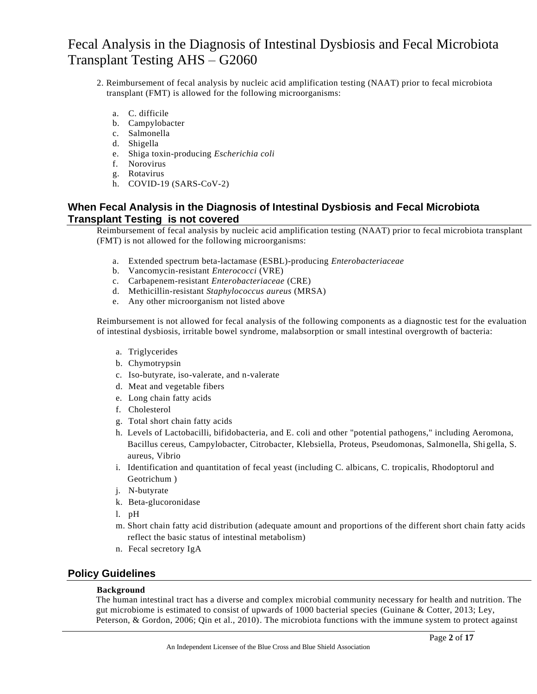- 2. Reimbursement of fecal analysis by nucleic acid amplification testing (NAAT) prior to fecal microbiota transplant (FMT) is allowed for the following microorganisms:
	- a. C. difficile
	- b. Campylobacter
	- c. Salmonella
	- d. Shigella
	- e. Shiga toxin-producing *Escherichia coli*
	- f. Norovirus
	- g. Rotavirus
	- h. COVID-19 (SARS-CoV-2)

### **When Fecal Analysis in the Diagnosis of Intestinal Dysbiosis and Fecal Microbiota Transplant Testing is not covered**

Reimbursement of fecal analysis by nucleic acid amplification testing (NAAT) prior to fecal microbiota transplant (FMT) is not allowed for the following microorganisms:

- a. Extended spectrum beta-lactamase (ESBL)-producing *Enterobacteriaceae*
- b. Vancomycin-resistant *Enterococci* (VRE)
- c. Carbapenem-resistant *Enterobacteriaceae* (CRE)
- d. Methicillin-resistant *Staphylococcus aureus* (MRSA)
- e. Any other microorganism not listed above

Reimbursement is not allowed for fecal analysis of the following components as a diagnostic test for the evaluation of intestinal dysbiosis, irritable bowel syndrome, malabsorption or small intestinal overgrowth of bacteria:

- a. Triglycerides
- b. Chymotrypsin
- c. Iso-butyrate, iso-valerate, and n-valerate
- d. Meat and vegetable fibers
- e. Long chain fatty acids
- f. Cholesterol
- g. Total short chain fatty acids
- h. Levels of Lactobacilli, bifidobacteria, and E. coli and other "potential pathogens," including Aeromona, Bacillus cereus, Campylobacter, Citrobacter, Klebsiella, Proteus, Pseudomonas, Salmonella, Shi gella, S. aureus, Vibrio
- i. Identification and quantitation of fecal yeast (including C. albicans, C. tropicalis, Rhodoptorul and Geotrichum )
- j. N-butyrate
- k. Beta-glucoronidase
- l. pH
- m. Short chain fatty acid distribution (adequate amount and proportions of the different short chain fatty acids reflect the basic status of intestinal metabolism)
- n. Fecal secretory IgA

### **Policy Guidelines**

#### **Background**

The human intestinal tract has a diverse and complex microbial community necessary for health and nutrition. The gut microbiome is estimated to consist of upwards of 1000 bacterial species (Guinane & Cotter, 2013; Ley, Peterson, & Gordon, 2006; Qin et al., 2010). The microbiota functions with the immune system to protect against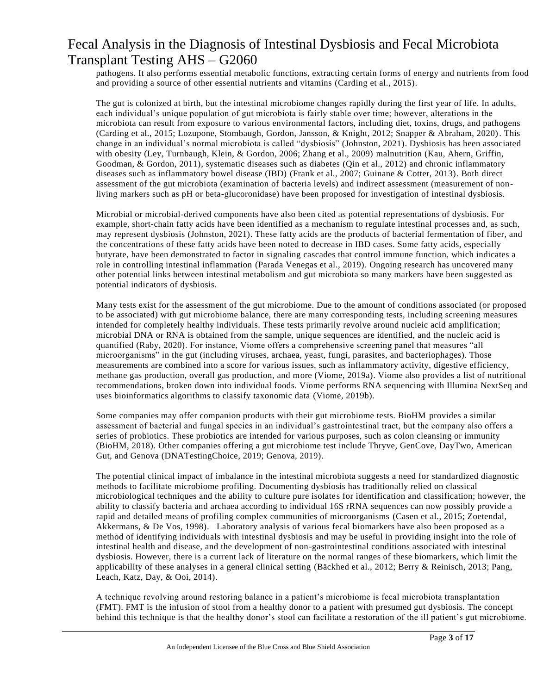pathogens. It also performs essential metabolic functions, extracting certain forms of energy and nutrients from food and providing a source of other essential nutrients and vitamins (Carding et al., 2015).

The gut is colonized at birth, but the intestinal microbiome changes rapidly during the first year of life. In adults, each individual's unique population of gut microbiota is fairly stable over time; however, alterations in the microbiota can result from exposure to various environmental factors, including diet, toxins, drugs, and pathogens (Carding et al., 2015; Lozupone, Stombaugh, Gordon, Jansson, & Knight, 2012; Snapper & Abraham, 2020). This change in an individual's normal microbiota is called "dysbiosis" (Johnston, 2021). Dysbiosis has been associated with obesity (Ley, Turnbaugh, Klein, & Gordon, 2006; Zhang et al., 2009) malnutrition (Kau, Ahern, Griffin, Goodman, & Gordon, 2011), systematic diseases such as diabetes (Qin et al., 2012) and chronic inflammatory diseases such as inflammatory bowel disease (IBD) (Frank et al., 2007; Guinane & Cotter, 2013). Both direct assessment of the gut microbiota (examination of bacteria levels) and indirect assessment (measurement of nonliving markers such as pH or beta-glucoronidase) have been proposed for investigation of intestinal dysbiosis.

Microbial or microbial-derived components have also been cited as potential representations of dysbiosis. For example, short-chain fatty acids have been identified as a mechanism to regulate intestinal processes and, as such, may represent dysbiosis (Johnston, 2021). These fatty acids are the products of bacterial fermentation of fiber, and the concentrations of these fatty acids have been noted to decrease in IBD cases. Some fatty acids, especially butyrate, have been demonstrated to factor in signaling cascades that control immune function, which indicates a role in controlling intestinal inflammation (Parada Venegas et al., 2019). Ongoing research has uncovered many other potential links between intestinal metabolism and gut microbiota so many markers have been suggested as potential indicators of dysbiosis.

Many tests exist for the assessment of the gut microbiome. Due to the amount of conditions associated (or proposed to be associated) with gut microbiome balance, there are many corresponding tests, including screening measures intended for completely healthy individuals. These tests primarily revolve around nucleic acid amplification; microbial DNA or RNA is obtained from the sample, unique sequences are identified, and the nucleic acid is quantified (Raby, 2020). For instance, Viome offers a comprehensive screening panel that measures "all microorganisms" in the gut (including viruses, archaea, yeast, fungi, parasites, and bacteriophages). Those measurements are combined into a score for various issues, such as inflammatory activity, digestive efficiency, methane gas production, overall gas production, and more (Viome, 2019a). Viome also provides a list of nutritional recommendations, broken down into individual foods. Viome performs RNA sequencing with Illumina NextSeq and uses bioinformatics algorithms to classify taxonomic data (Viome, 2019b).

Some companies may offer companion products with their gut microbiome tests. BioHM provides a similar assessment of bacterial and fungal species in an individual's gastrointestinal tract, but the company also offers a series of probiotics. These probiotics are intended for various purposes, such as colon cleansing or immunity (BioHM, 2018). Other companies offering a gut microbiome test include Thryve, GenCove, DayTwo, American Gut, and Genova (DNATestingChoice, 2019; Genova, 2019).

The potential clinical impact of imbalance in the intestinal microbiota suggests a need for standardized diagnostic methods to facilitate microbiome profiling. Documenting dysbiosis has traditionally relied on classical microbiological techniques and the ability to culture pure isolate s for identification and classification; however, the ability to classify bacteria and archaea according to individual 16S rRNA sequences can now possibly provide a rapid and detailed means of profiling complex communities of microorganisms (Casen et al., 2015; Zoetendal, Akkermans, & De Vos, 1998). Laboratory analysis of various fecal biomarkers have also been proposed as a method of identifying individuals with intestinal dysbiosis and may be useful in providing insight into the role of intestinal health and disease, and the development of non-gastrointestinal conditions associated with intestinal dysbiosis. However, there is a current lack of literature on the normal ranges of these biomarkers, which limit the applicability of these analyses in a general clinical setting (Bäckhed et al., 2012; Berry & Reinisch, 2013; Pang, Leach, Katz, Day, & Ooi, 2014).

A technique revolving around restoring balance in a patient's microbiome is fecal microbiota transplantation (FMT). FMT is the infusion of stool from a healthy donor to a patient with presumed gut dysbiosis. The concept behind this technique is that the healthy donor's stool can facilitate a restoration of the ill patient's gut microbiome.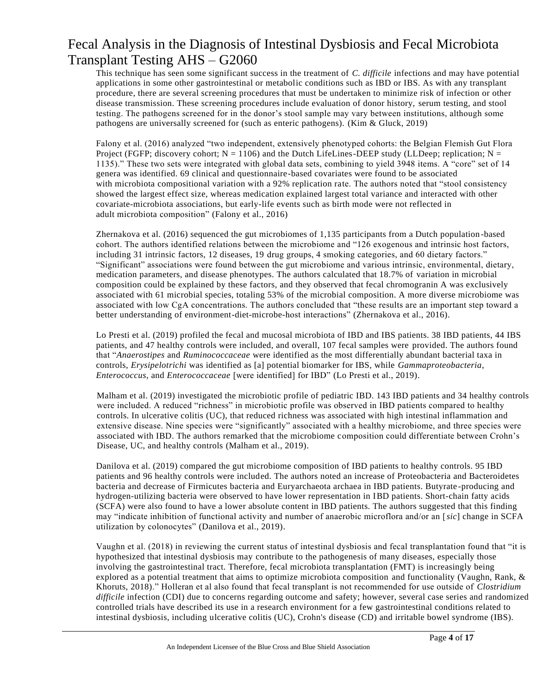This technique has seen some significant success in the treatment of *C. difficile* infections and may have potential applications in some other gastrointestinal or metabolic conditions such as IBD or IBS. As with any transplant procedure, there are several screening procedures that must be undertaken to minimize risk of infection or other disease transmission. These screening procedures include evaluation of donor history, serum testing, and stool testing. The pathogens screened for in the donor's stool sample may vary between institutions, although some pathogens are universally screened for (such as enteric pathogens). (Kim & Gluck, 2019)

Falony et al. (2016) analyzed "two independent, extensively phenotyped cohorts: the Belgian Flemish Gut Flora Project (FGFP; discovery cohort;  $N = 1106$ ) and the Dutch LifeLines-DEEP study (LLDeep; replication; N = 1135)." These two sets were integrated with global data sets, combining to yield 3948 items. A "core" set of 14 genera was identified. 69 clinical and questionnaire-based covariates were found to be associated with microbiota compositional variation with a 92% replication rate. The authors noted that "stool consistency showed the largest effect size, whereas medication explained largest total variance and interacted with other covariate-microbiota associations, but early-life events such as birth mode were not reflected in adult microbiota composition" (Falony et al., 2016)

Zhernakova et al. (2016) sequenced the gut microbiomes of 1,135 participants from a Dutch population -based cohort. The authors identified relations between the microbiome and "126 exogenous and intrinsic host factors, including 31 intrinsic factors, 12 diseases, 19 drug groups, 4 smoking categories, and 60 dietary factors." "Significant" associations were found between the gut microbiome and various intrinsic, environmental, dietary, medication parameters, and disease phenotypes. The authors calculated that 18.7% of variation in microbial composition could be explained by these factors, and they observed that fecal chromogranin A was exclusively associated with 61 microbial species, totaling 53% of the microbial composition. A more diverse microbiome was associated with low CgA concentrations. The authors concluded that "these results are an important step toward a better understanding of environment-diet-microbe-host interactions" (Zhernakova et al., 2016).

Lo Presti et al. (2019) profiled the fecal and mucosal microbiota of IBD and IBS patients. 38 IBD patients, 44 IBS patients, and 47 healthy controls were included, and overall, 107 fecal samples were provided. The authors found that "*Anaerostipes* and *Ruminococcaceae* were identified as the most differentially abundant bacterial taxa in controls, *Erysipelotrichi* was identified as [a] potential biomarker for IBS, while *Gammaproteobacteria*, *Enterococcus*, and *Enterococcaceae* [were identified] for IBD" (Lo Presti et al., 2019).

Malham et al. (2019) investigated the microbiotic profile of pediatric IBD. 143 IBD patients and 34 healthy controls were included. A reduced "richness" in microbiotic profile was observed in IBD patients compared to healthy controls. In ulcerative colitis (UC), that reduced richness was associated with high intestinal inflammation and extensive disease. Nine species were "significantly" associated with a healthy microbiome, and three species were associated with IBD. The authors remarked that the microbiome composition could differentiate between Crohn's Disease, UC, and healthy controls (Malham et al., 2019).

Danilova et al. (2019) compared the gut microbiome composition of IBD patients to healthy controls. 95 IBD patients and 96 healthy controls were included. The authors noted an increase of Proteobacteria and Bacteroidetes bacteria and decrease of Firmicutes bacteria and Euryarchaeota archaea in IBD patients. Butyrate -producing and hydrogen-utilizing bacteria were observed to have lower representation in IBD patients. Short-chain fatty acids (SCFA) were also found to have a lower absolute content in IBD patients. The authors suggested that this finding may "indicate inhibition of functional activity and number of anaerobic microflora and/or an [*sic*] change in SCFA utilization by colonocytes" (Danilova et al., 2019).

Vaughn et al. (2018) in reviewing the current status of intestinal dysbiosis and fecal transplantation found that "it is hypothesized that intestinal dysbiosis may contribute to the pathogenesis of many diseases, especially those involving the gastrointestinal tract. Therefore, fecal microbiota transplantation (FMT) is increasingly being explored as a potential treatment that aims to optimize microbiota composition and functionality (Vaughn, Rank, & Khoruts, 2018)." Holleran et al also found that fecal transplant is not recommended for use outside of *Clostridium difficile* infection (CDI) due to concerns regarding outcome and safety; however, several case series and randomized controlled trials have described its use in a research environment for a few gastrointestinal conditions related to intestinal dysbiosis, including ulcerative colitis (UC), Crohn's disease (CD) and irritable bowel syndrome (IBS).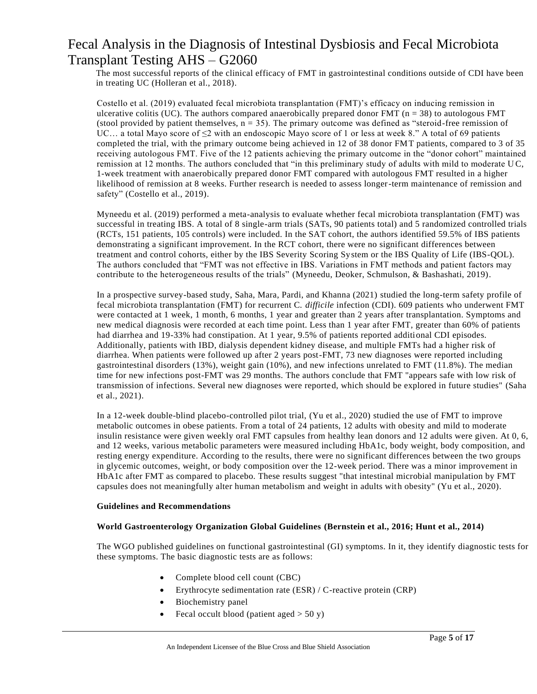The most successful reports of the clinical efficacy of FMT in gastrointestinal conditions outside of CDI have been in treating UC (Holleran et al., 2018).

Costello et al. (2019) evaluated fecal microbiota transplantation (FMT)'s efficacy on inducing remission in ulcerative colitis (UC). The authors compared anaerobically prepared donor FMT ( $n = 38$ ) to autologous FMT (stool provided by patient themselves,  $n = 35$ ). The primary outcome was defined as "steroid-free remission of UC... a total Mayo score of  $\leq$  with an endoscopic Mayo score of 1 or less at week 8." A total of 69 patients completed the trial, with the primary outcome being achieved in 12 of 38 donor FMT patients, compared to 3 of 35 receiving autologous FMT. Five of the 12 patients achieving the primary outcome in the "donor cohort" maintained remission at 12 months. The authors concluded that "in this preliminary study of adults with mild to moderate U C, 1-week treatment with anaerobically prepared donor FMT compared with autologous FMT resulted in a higher likelihood of remission at 8 weeks. Further research is needed to assess longer-term maintenance of remission and safety" (Costello et al., 2019).

Myneedu et al. (2019) performed a meta-analysis to evaluate whether fecal microbiota transplantation (FMT) was successful in treating IBS. A total of 8 single-arm trials (SATs, 90 patients total) and 5 randomized controlled trials (RCTs, 151 patients, 105 controls) were included. In the SAT cohort, the authors identified 59.5% of IBS patients demonstrating a significant improvement. In the RCT cohort, there were no significant differences between treatment and control cohorts, either by the IBS Severity Scoring System or the IBS Quality of Life (IBS-QOL). The authors concluded that "FMT was not effective in IBS. Variations in FMT methods and patient factors may contribute to the heterogeneous results of the trials" (Myneedu, Deoker, Schmulson, & Bashashati, 2019).

In a prospective survey-based study, Saha, Mara, Pardi, and Khanna (2021) studied the long-term safety profile of fecal microbiota transplantation (FMT) for recurrent C. *difficile* infection (CDI). 609 patients who underwent FMT were contacted at 1 week, 1 month, 6 months, 1 year and greater than 2 years after transplantation. Symptoms and new medical diagnosis were recorded at each time point. Less than 1 year after FMT, greater than 60% of patients had diarrhea and 19-33% had constipation. At 1 year, 9.5% of patients reported additional CDI episodes. Additionally, patients with IBD, dialysis dependent kidney disease, and multiple FMTs had a higher risk of diarrhea. When patients were followed up after 2 years post-FMT, 73 new diagnoses were reported including gastrointestinal disorders (13%), weight gain (10%), and new infections unrelated to FMT (11.8%). The median time for new infections post-FMT was 29 months. The authors conclude that FMT "appears safe with low risk of transmission of infections. Several new diagnoses were reported, which should be explored in future studies" (Saha et al., 2021).

In a 12-week double-blind placebo-controlled pilot trial, (Yu et al., 2020) studied the use of FMT to improve metabolic outcomes in obese patients. From a total of 24 patients, 12 adults with obesity and mild to moderate insulin resistance were given weekly oral FMT capsules from healthy lean donors and 12 adults were given. At 0, 6, and 12 weeks, various metabolic parameters were measured including HbA1c, body weight, body composition, and resting energy expenditure. According to the results, there were no significant differences between the two groups in glycemic outcomes, weight, or body composition over the 12-week period. There was a minor improvement in HbA1c after FMT as compared to placebo. These results suggest "that intestinal microbial manipulation by FMT capsules does not meaningfully alter human metabolism and weight in adults with obesity" (Yu et al., 2020).

#### **Guidelines and Recommendations**

#### **World Gastroenterology Organization Global Guidelines (Bernstein et al., 2016; Hunt et al., 2014)**

The WGO published guidelines on functional gastrointestinal (GI) symptoms. In it, they identify diagnostic tests for these symptoms. The basic diagnostic tests are as follows:

- Complete blood cell count (CBC)
- Erythrocyte sedimentation rate (ESR) / C-reactive protein (CRP)
- Biochemistry panel
- Fecal occult blood (patient aged  $>$  50 y)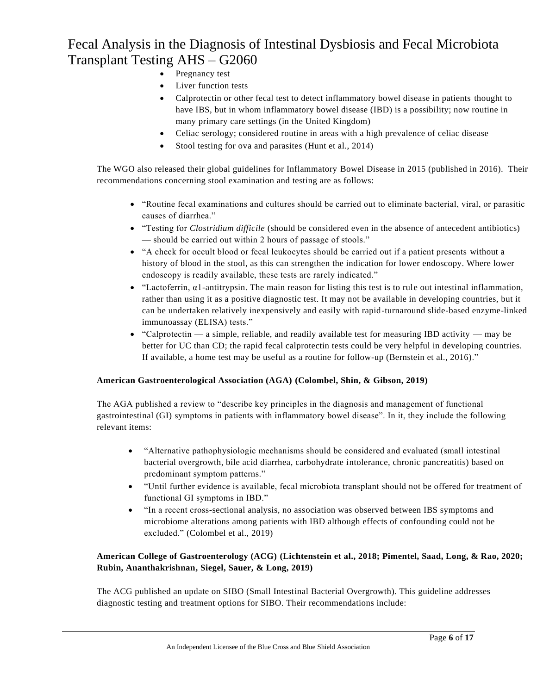- Pregnancy test
- Liver function tests
- Calprotectin or other fecal test to detect inflammatory bowel disease in patients thought to have IBS, but in whom inflammatory bowel disease (IBD) is a possibility; now routine in many primary care settings (in the United Kingdom)
- Celiac serology; considered routine in areas with a high prevalence of celiac disease
- Stool testing for ova and parasites (Hunt et al., 2014)

The WGO also released their global guidelines for Inflammatory Bowel Disease in 2015 (published in 2016). Their recommendations concerning stool examination and testing are as follows:

- "Routine fecal examinations and cultures should be carried out to eliminate bacterial, viral, or parasitic causes of diarrhea."
- "Testing for *Clostridium difficile* (should be considered even in the absence of antecedent antibiotics) — should be carried out within 2 hours of passage of stools."
- "A check for occult blood or fecal leukocytes should be carried out if a patient presents without a history of blood in the stool, as this can strengthen the indication for lower endoscopy. Where lower endoscopy is readily available, these tests are rarely indicated."
- "Lactoferrin, α1-antitrypsin. The main reason for listing this test is to rule out intestinal inflammation, rather than using it as a positive diagnostic test. It may not be available in developing countries, but it can be undertaken relatively inexpensively and easily with rapid-turnaround slide-based enzyme-linked immunoassay (ELISA) tests."
- "Calprotectin a simple, reliable, and readily available test for measuring IBD activity may be better for UC than CD; the rapid fecal calprotectin tests could be very helpful in developing countries. If available, a home test may be useful as a routine for follow-up (Bernstein et al., 2016)."

### **American Gastroenterological Association (AGA) (Colombel, Shin, & Gibson, 2019)**

The AGA published a review to "describe key principles in the diagnosis and management of functional gastrointestinal (GI) symptoms in patients with inflammatory bowel disease". In it, they include the following relevant items:

- "Alternative pathophysiologic mechanisms should be considered and evaluated (small intestinal bacterial overgrowth, bile acid diarrhea, carbohydrate intolerance, chronic pancreatitis) based on predominant symptom patterns."
- "Until further evidence is available, fecal microbiota transplant should not be offered for treatment of functional GI symptoms in IBD."
- "In a recent cross-sectional analysis, no association was observed between IBS symptoms and microbiome alterations among patients with IBD although effects of confounding could not be excluded." (Colombel et al., 2019)

### **American College of Gastroenterology (ACG) (Lichtenstein et al., 2018; Pimentel, Saad, Long, & Rao, 2020; Rubin, Ananthakrishnan, Siegel, Sauer, & Long, 2019)**

The ACG published an update on SIBO (Small Intestinal Bacterial Overgrowth). This guideline addresses diagnostic testing and treatment options for SIBO. Their recommendations include: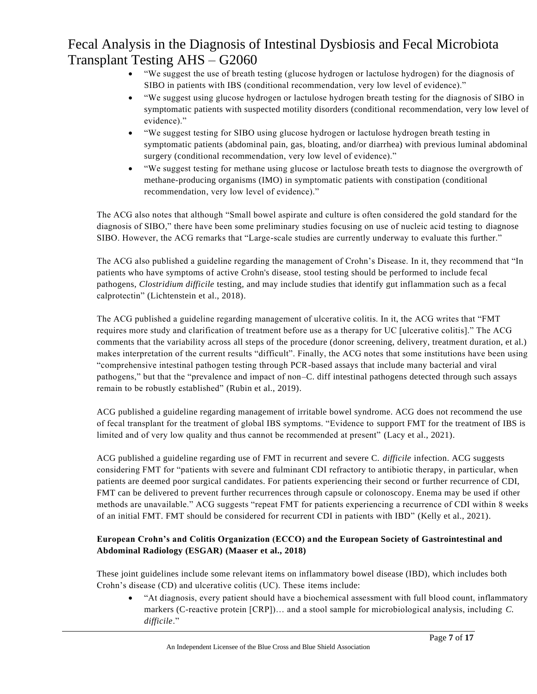- "We suggest the use of breath testing (glucose hydrogen or lactulose hydrogen) for the diagnosis of SIBO in patients with IBS (conditional recommendation, very low level of evidence)."
- "We suggest using glucose hydrogen or lactulose hydrogen breath testing for the diagnosis of SIBO in symptomatic patients with suspected motility disorders (conditional recommendation, very low level of evidence)."
- "We suggest testing for SIBO using glucose hydrogen or lactulose hydrogen breath testing in symptomatic patients (abdominal pain, gas, bloating, and/or diarrhea) with previous luminal abdominal surgery (conditional recommendation, very low level of evidence)."
- "We suggest testing for methane using glucose or lactulose breath tests to diagnose the overgrowth of methane-producing organisms (IMO) in symptomatic patients with constipation (conditional recommendation, very low level of evidence)."

The ACG also notes that although "Small bowel aspirate and culture is often considered the gold standard for the diagnosis of SIBO," there have been some preliminary studies focusing on use of nucleic acid testing to diagnose SIBO. However, the ACG remarks that "Large-scale studies are currently underway to evaluate this further."

The ACG also published a guideline regarding the management of Crohn's Disease. In it, they recommend that "In patients who have symptoms of active Crohn's disease, stool testing should be performed to include fecal pathogens, *Clostridium difficile* testing, and may include studies that identify gut inflammation such as a fecal calprotectin" (Lichtenstein et al., 2018).

The ACG published a guideline regarding management of ulcerative colitis. In it, the ACG writes that "FMT requires more study and clarification of treatment before use as a therapy for UC [ulcerative colitis]." The ACG comments that the variability across all steps of the procedure (donor screening, delivery, treatment duration, et al.) makes interpretation of the current results "difficult". Finally, the ACG notes that some institutions have been using "comprehensive intestinal pathogen testing through PCR-based assays that include many bacterial and viral pathogens," but that the "prevalence and impact of non–C. diff intestinal pathogens detected through such assays remain to be robustly established" (Rubin et al., 2019).

ACG published a guideline regarding management of irritable bowel syndrome. ACG does not recommend the use of fecal transplant for the treatment of global IBS symptoms. "Evidence to support FMT for the treatment of IBS is limited and of very low quality and thus cannot be recommended at present" (Lacy et al., 2021).

ACG published a guideline regarding use of FMT in recurrent and severe C. *difficile* infection. ACG suggests considering FMT for "patients with severe and fulminant CDI refractory to antibiotic therapy, in particular, when patients are deemed poor surgical candidates. For patients experiencing their second or further recurrence of CDI, FMT can be delivered to prevent further recurrences through capsule or colonoscopy. Enema may be used if other methods are unavailable." ACG suggests "repeat FMT for patients experiencing a recurrence of CDI within 8 weeks of an initial FMT. FMT should be considered for recurrent CDI in patients with IBD" (Kelly et al., 2021).

### **European Crohn's and Colitis Organization (ECCO) and the European Society of Gastrointestinal and Abdominal Radiology (ESGAR) (Maaser et al., 2018)**

These joint guidelines include some relevant items on inflammatory bowel disease (IBD), which includes both Crohn's disease (CD) and ulcerative colitis (UC). These items include:

• "At diagnosis, every patient should have a biochemical assessment with full blood count, inflammatory markers (C-reactive protein [CRP])… and a stool sample for microbiological analysis, including *C. difficile*."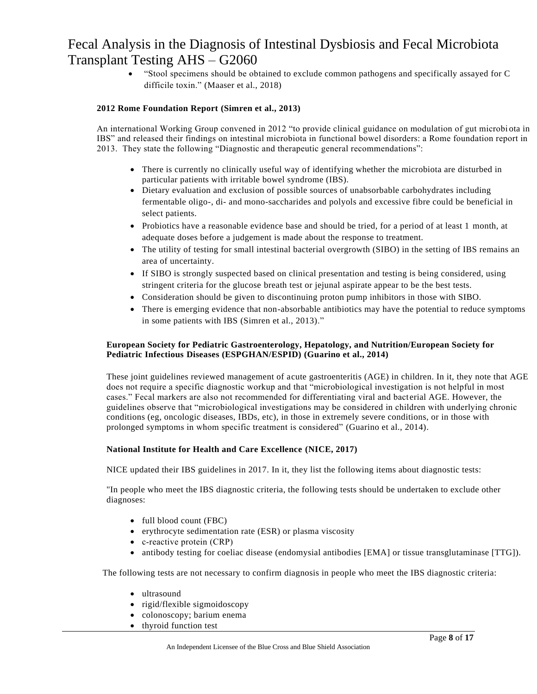• "Stool specimens should be obtained to exclude common pathogens and specifically assayed for C difficile toxin." (Maaser et al., 2018)

#### **2012 Rome Foundation Report (Simren et al., 2013)**

An international Working Group convened in 2012 "to provide clinical guidance on modulation of gut microbi ota in IBS" and released their findings on intestinal microbiota in functional bowel disorders: a Rome foundation report in 2013. They state the following "Diagnostic and therapeutic general recommendations":

- There is currently no clinically useful way of identifying whether the microbiota are disturbed in particular patients with irritable bowel syndrome (IBS).
- Dietary evaluation and exclusion of possible sources of unabsorbable carbohydrates including fermentable oligo-, di- and mono-saccharides and polyols and excessive fibre could be beneficial in select patients.
- Probiotics have a reasonable evidence base and should be tried, for a period of at least 1 month, at adequate doses before a judgement is made about the response to treatment.
- The utility of testing for small intestinal bacterial overgrowth (SIBO) in the setting of IBS remains an area of uncertainty.
- If SIBO is strongly suspected based on clinical presentation and testing is being considered, using stringent criteria for the glucose breath test or jejunal aspirate appear to be the best tests.
- Consideration should be given to discontinuing proton pump inhibitors in those with SIBO.
- There is emerging evidence that non-absorbable antibiotics may have the potential to reduce symptoms in some patients with IBS (Simren et al., 2013)."

#### **European Society for Pediatric Gastroenterology, Hepatology, and Nutrition/European Society for Pediatric Infectious Diseases (ESPGHAN/ESPID) (Guarino et al., 2014)**

These joint guidelines reviewed management of acute gastroenteritis (AGE) in children. In it, they note that AGE does not require a specific diagnostic workup and that "microbiological investigation is not helpful in most cases." Fecal markers are also not recommended for differentiating viral and bact erial AGE. However, the guidelines observe that "microbiological investigations may be considered in children with underlying chronic conditions (eg, oncologic diseases, IBDs, etc), in those in extremely severe conditions, or in those with prolonged symptoms in whom specific treatment is considered" (Guarino et al., 2014).

#### **National Institute for Health and Care Excellence (NICE, 2017)**

NICE updated their IBS guidelines in 2017. In it, they list the following items about diagnostic tests:

"In people who meet the IBS diagnostic criteria, the following tests should be undertaken to exclude other diagnoses:

- full blood count (FBC)
- erythrocyte sedimentation rate (ESR) or plasma viscosity
- c-reactive protein (CRP)
- antibody testing for coeliac disease (endomysial antibodies [EMA] or tissue transglutaminase [TTG]).

The following tests are not necessary to confirm diagnosis in people who meet the IBS diagnostic criteria:

- ultrasound
- rigid/flexible sigmoidoscopy
- colonoscopy; barium enema
- thyroid function test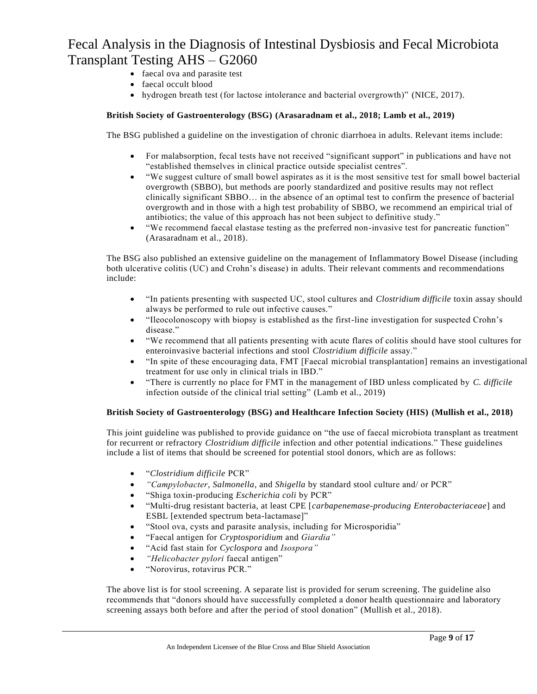- faecal ova and parasite test
- faecal occult blood
- hydrogen breath test (for lactose intolerance and bacterial overgrowth)" (NICE, 2017).

#### **British Society of Gastroenterology (BSG) (Arasaradnam et al., 2018; Lamb et al., 2019)**

The BSG published a guideline on the investigation of chronic diarrhoea in adults. Relevant items include:

- For malabsorption, fecal tests have not received "significant support" in publications and have not "established themselves in clinical practice outside specialist centres".
- "We suggest culture of small bowel aspirates as it is the most sensitive test for small bowel bacterial overgrowth (SBBO), but methods are poorly standardized and positive results may not reflect clinically significant SBBO… in the absence of an optimal test to confirm the presence of bacterial overgrowth and in those with a high test probability of SBBO, we recommend an empirical trial of antibiotics; the value of this approach has not been subject to definitive study."
- "We recommend faecal elastase testing as the preferred non-invasive test for pancreatic function" (Arasaradnam et al., 2018).

The BSG also published an extensive guideline on the management of Inflammatory Bowel Disease (including both ulcerative colitis (UC) and Crohn's disease) in adults. Their relevant comments and recommendations include:

- "In patients presenting with suspected UC, stool cultures and *Clostridium difficile* toxin assay should always be performed to rule out infective causes."
- "Ileocolonoscopy with biopsy is established as the first-line investigation for suspected Crohn's disease."
- "We recommend that all patients presenting with acute flares of colitis should have stool cultures for enteroinvasive bacterial infections and stool *Clostridium difficile* assay."
- "In spite of these encouraging data, FMT [Faecal microbial transplantation] remains an investigational treatment for use only in clinical trials in IBD."
- "There is currently no place for FMT in the management of IBD unless complicated by *C. difficile* infection outside of the clinical trial setting" (Lamb et al., 2019)

### **British Society of Gastroenterology (BSG) and Healthcare Infection Society (HIS) (Mullish et al., 2018)**

This joint guideline was published to provide guidance on "the use of faecal microbiota transplant as treatment for recurrent or refractory *Clostridium difficile* infection and other potential indications." These guidelines include a list of items that should be screened for potential stool donors, which are as follows:

- "*Clostridium difficile* PCR"
- *"Campylobacter*, *Salmonella*, and *Shigella* by standard stool culture and/ or PCR"
- "Shiga toxin-producing *Escherichia coli* by PCR"
- "Multi-drug resistant bacteria, at least CPE [*carbapenemase-producing Enterobacteriaceae*] and ESBL [extended spectrum beta-lactamase]"
- "Stool ova, cysts and parasite analysis, including for Microsporidia"
- "Faecal antigen for *Cryptosporidium* and *Giardia"*
- "Acid fast stain for *Cyclospora* and *Isospora"*
- *"Helicobacter pylori* faecal antigen"
- "Norovirus, rotavirus PCR."

The above list is for stool screening. A separate list is provided for serum screening. The guideline also recommends that "donors should have successfully completed a donor health questionnaire and laboratory screening assays both before and after the period of stool donation" (Mullish et al., 2018).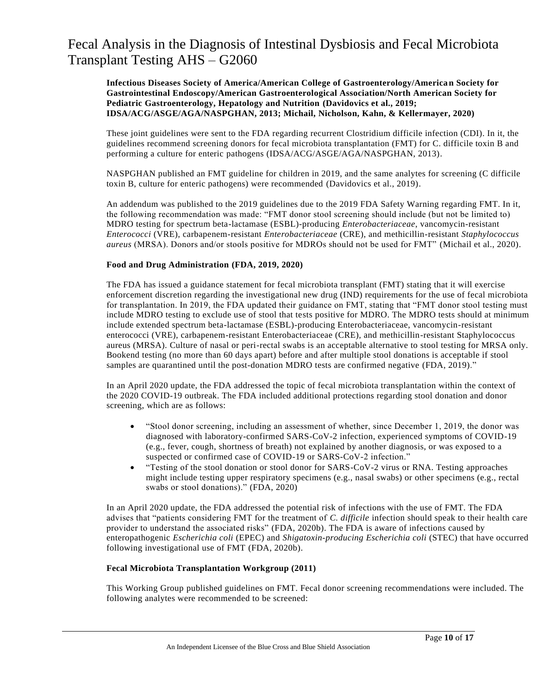**Infectious Diseases Society of America/American College of Gastroenterology/American Society for Gastrointestinal Endoscopy/American Gastroenterological Association/North American Society for Pediatric Gastroenterology, Hepatology and Nutrition (Davidovics et al., 2019; IDSA/ACG/ASGE/AGA/NASPGHAN, 2013; Michail, Nicholson, Kahn, & Kellermayer, 2020)**

These joint guidelines were sent to the FDA regarding recurrent Clostridium difficile infection (CDI). In it, the guidelines recommend screening donors for fecal microbiota transplantation (FMT) for C. difficile toxin B and performing a culture for enteric pathogens (IDSA/ACG/ASGE/AGA/NASPGHAN, 2013).

NASPGHAN published an FMT guideline for children in 2019, and the same analytes for screening (C difficile toxin B, culture for enteric pathogens) were recommended (Davidovics et al., 2019).

An addendum was published to the 2019 guidelines due to the 2019 FDA Safety Warning regarding FMT. In it, the following recommendation was made: "FMT donor stool screening should include (but not be limited to) MDRO testing for spectrum beta-lactamase (ESBL)-producing *Enterobacteriaceae*, vancomycin-resistant *Enterococci* (VRE), carbapenem-resistant *Enterobacteriaceae* (CRE), and methicillin-resistant *Staphylococcus aureus* (MRSA). Donors and/or stools positive for MDROs should not be used for FMT" (Michail et al., 2020).

#### **Food and Drug Administration (FDA, 2019, 2020)**

The FDA has issued a guidance statement for fecal microbiota transplant (FMT) stating that it will exercise enforcement discretion regarding the investigational new drug (IND) requirements for the use of fecal microbiota for transplantation. In 2019, the FDA updated their guidance on FMT, stating that "FMT donor stool testing must include MDRO testing to exclude use of stool that tests positive for MDRO. The MDRO tests should at minimum include extended spectrum beta-lactamase (ESBL)-producing Enterobacteriaceae, vancomycin-resistant enterococci (VRE), carbapenem-resistant Enterobacteriaceae (CRE), and methicillin-resistant Staphylococcus aureus (MRSA). Culture of nasal or peri-rectal swabs is an acceptable alternative to stool testing for MRSA only. Bookend testing (no more than 60 days apart) before and after multiple stool donations is acceptable if stool samples are quarantined until the post-donation MDRO tests are confirmed negative (FDA, 2019)."

In an April 2020 update, the FDA addressed the topic of fecal microbiota transplantation within the context of the 2020 COVID-19 outbreak. The FDA included additional protections regarding stool donation and donor screening, which are as follows:

- "Stool donor screening, including an assessment of whether, since December 1, 2019, the donor was diagnosed with laboratory-confirmed SARS-CoV-2 infection, experienced symptoms of COVID-19 (e.g., fever, cough, shortness of breath) not explained by another diagnosis, or was exposed to a suspected or confirmed case of COVID-19 or SARS-CoV-2 infection."
- "Testing of the stool donation or stool donor for SARS-CoV-2 virus or RNA. Testing approaches might include testing upper respiratory specimens (e.g., nasal swabs) or other specimens (e.g., rectal swabs or stool donations)." (FDA, 2020)

In an April 2020 update, the FDA addressed the potential risk of infections with the use of FMT. The FDA advises that "patients considering FMT for the treatment of *C. difficile* infection should speak to their health care provider to understand the associated risks" (FDA, 2020b). The FDA is aware of infections caused by enteropathogenic *Escherichia coli* (EPEC) and *Shigatoxin-producing Escherichia coli* (STEC) that have occurred following investigational use of FMT (FDA, 2020b).

#### **Fecal Microbiota Transplantation Workgroup (2011)**

This Working Group published guidelines on FMT. Fecal donor screening recommendations were included. The following analytes were recommended to be screened: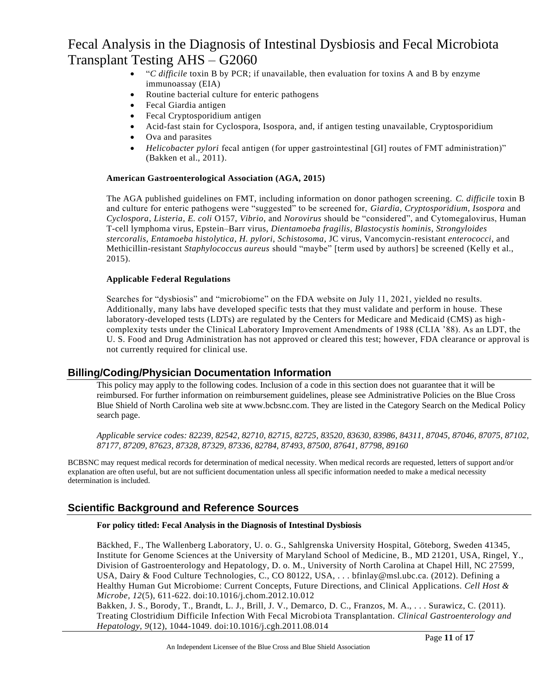- "*C difficile* toxin B by PCR; if unavailable, then evaluation for toxins A and B by enzyme immunoassay (EIA)
- Routine bacterial culture for enteric pathogens
- Fecal Giardia antigen
- Fecal Cryptosporidium antigen
- Acid-fast stain for Cyclospora, Isospora, and, if antigen testing unavailable, Cryptosporidium
- Ova and parasites
- *Helicobacter pylori* fecal antigen (for upper gastrointestinal [GI] routes of FMT administration)" (Bakken et al., 2011).

#### **American Gastroenterological Association (AGA, 2015)**

The AGA published guidelines on FMT, including information on donor pathogen screening. *C. difficile* toxin B and culture for enteric pathogens were "suggested" to be screened for, *Giardia*, *Cryptosporidium*, *Isospora* and *Cyclospora*, *Listeria*, *E. coli* O157, *Vibrio*, and *Norovirus* should be "considered", and Cytomegalovirus, Human T-cell lymphoma virus, Epstein–Barr virus, *Dientamoeba fragilis*, *Blastocystis hominis*, *Strongyloides stercoralis*, *Entamoeba histolytica*, *H. pylori*, *Schistosoma*, JC virus, Vancomycin-resistant *enterococci*, and Methicillin-resistant *Staphylococcus aureus* should "maybe" [term used by authors] be screened (Kelly et al., 2015).

#### **Applicable Federal Regulations**

Searches for "dysbiosis" and "microbiome" on the FDA website on July 11, 2021, yielded no results. Additionally, many labs have developed specific tests that they must validate and perform in house. These laboratory-developed tests (LDTs) are regulated by the Centers for Medicare and Medicaid (CMS) as high complexity tests under the Clinical Laboratory Improvement Amendments of 1988 (CLIA '88). As an LDT, the U. S. Food and Drug Administration has not approved or cleared this test; however, FDA clearance or approval is not currently required for clinical use.

### **Billing/Coding/Physician Documentation Information**

This policy may apply to the following codes. Inclusion of a code in this section does not guarantee that it will be reimbursed. For further information on reimbursement guidelines, please see Administrative Policies on the Blue Cross Blue Shield of North Carolina web site at www.bcbsnc.com. They are listed in the Category Search on the Medical Policy search page.

*Applicable service codes: 82239, 82542, 82710, 82715, 82725, 83520, 83630, 83986, 84311, 87045, 87046, 87075, 87102, 87177, 87209, 87623, 87328, 87329, 87336, 82784, 87493, 87500, 87641, 87798, 89160*

BCBSNC may request medical records for determination of medical necessity. When medical records are requested, letters of support and/or explanation are often useful, but are not sufficient documentation unless all specific information needed to make a medical necessity determination is included.

### **Scientific Background and Reference Sources**

#### **For policy titled: Fecal Analysis in the Diagnosis of Intestinal Dysbiosis**

Bäckhed, F., The Wallenberg Laboratory, U. o. G., Sahlgrenska University Hospital, Göteborg, Sweden 41345, Institute for Genome Sciences at the University of Maryland School of Medicine, B., MD 21201, USA, Ringel, Y., Division of Gastroenterology and Hepatology, D. o. M., University of North Carolina at Chapel Hill, NC 27599, USA, Dairy & Food Culture Technologies, C., CO 80122, USA, . . . bfinlay@msl.ubc.ca. (2012). Defining a Healthy Human Gut Microbiome: Current Concepts, Future Directions, and Clinical Applications. *Cell Host & Microbe, 12*(5), 611-622. doi:10.1016/j.chom.2012.10.012

Bakken, J. S., Borody, T., Brandt, L. J., Brill, J. V., Demarco, D. C., Franzos, M. A., . . . Surawicz, C. (2011). Treating Clostridium Difficile Infection With Fecal Microbiota Transplantation. *Clinical Gastroenterology and Hepatology, 9*(12), 1044-1049. doi:10.1016/j.cgh.2011.08.014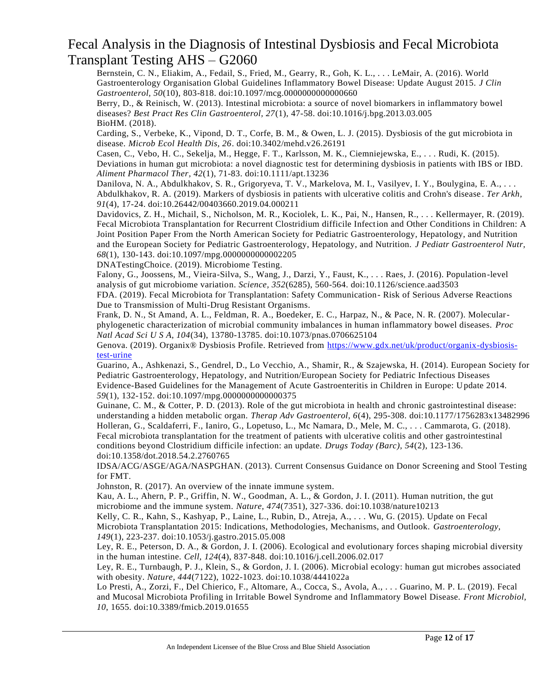Bernstein, C. N., Eliakim, A., Fedail, S., Fried, M., Gearry, R., Goh, K. L., . . . LeMair, A. (2016). World Gastroenterology Organisation Global Guidelines Inflammatory Bowel Disease: Update August 2015. *J Clin Gastroenterol, 50*(10), 803-818. doi:10.1097/mcg.0000000000000660

Berry, D., & Reinisch, W. (2013). Intestinal microbiota: a source of novel biomarkers in inflammatory bowel diseases? *Best Pract Res Clin Gastroenterol, 27*(1), 47-58. doi:10.1016/j.bpg.2013.03.005 BioHM. (2018).

Carding, S., Verbeke, K., Vipond, D. T., Corfe, B. M., & Owen, L. J. (2015). Dysbiosis of the gut microbiota in disease. *Microb Ecol Health Dis, 26*. doi:10.3402/mehd.v26.26191

Casen, C., Vebo, H. C., Sekelja, M., Hegge, F. T., Karlsson, M. K., Ciemniejewska, E., . . . Rudi, K. (2015). Deviations in human gut microbiota: a novel diagnostic test for determining dysbiosis in patients with IBS or IBD. *Aliment Pharmacol Ther, 42*(1), 71-83. doi:10.1111/apt.13236

Danilova, N. A., Abdulkhakov, S. R., Grigoryeva, T. V., Markelova, M. I., Vasilyev, I. Y., Boulygina, E. A., . . . Abdulkhakov, R. A. (2019). Markers of dysbiosis in patients with ulcerative colitis and Crohn's disease . *Ter Arkh, 91*(4), 17-24. doi:10.26442/00403660.2019.04.000211

Davidovics, Z. H., Michail, S., Nicholson, M. R., Kociolek, L. K., Pai, N., Hansen, R., . . . Kellermayer, R. (2019). Fecal Microbiota Transplantation for Recurrent Clostridium difficile Infection and Other Conditions in Children: A Joint Position Paper From the North American Society for Pediatric Gastroenterology, Hepatology, and Nutrition and the European Society for Pediatric Gastroenterology, Hepatology, and Nutrition. *J Pediatr Gastroenterol Nutr, 68*(1), 130-143. doi:10.1097/mpg.0000000000002205

DNATestingChoice. (2019). Microbiome Testing.

Falony, G., Joossens, M., Vieira-Silva, S., Wang, J., Darzi, Y., Faust, K., . . . Raes, J. (2016). Population-level analysis of gut microbiome variation. *Science, 352*(6285), 560-564. doi:10.1126/science.aad3503 FDA. (2019). Fecal Microbiota for Transplantation: Safety Communication- Risk of Serious Adverse Reactions

Due to Transmission of Multi-Drug Resistant Organisms.

Frank, D. N., St Amand, A. L., Feldman, R. A., Boedeker, E. C., Harpaz, N., & Pace, N. R. (2007). Molecularphylogenetic characterization of microbial community imbalances in human inflammatory bowel diseases. *Proc Natl Acad Sci U S A, 104*(34), 13780-13785. doi:10.1073/pnas.0706625104

Genova. (2019). Organix® Dysbiosis Profile. Retrieved from [https://www.gdx.net/uk/product/organix-dysbiosis](https://www.gdx.net/uk/product/organix-dysbiosis-test-urine)[test-urine](https://www.gdx.net/uk/product/organix-dysbiosis-test-urine)

Guarino, A., Ashkenazi, S., Gendrel, D., Lo Vecchio, A., Shamir, R., & Szajewska, H. (2014). European Society for Pediatric Gastroenterology, Hepatology, and Nutrition/European Society for Pediatric Infectious Diseases Evidence-Based Guidelines for the Management of Acute Gastroenteritis in Children in Europe: Update 2014. *59*(1), 132-152. doi:10.1097/mpg.0000000000000375

Guinane, C. M., & Cotter, P. D. (2013). Role of the gut microbiota in health and chronic gastrointestinal disease: understanding a hidden metabolic organ. *Therap Adv Gastroenterol, 6*(4), 295-308. doi:10.1177/1756283x13482996 Holleran, G., Scaldaferri, F., Ianiro, G., Lopetuso, L., Mc Namara, D., Mele, M. C., . . . Cammarota, G. (2018). Fecal microbiota transplantation for the treatment of patients with ulcerative colitis and other gastrointestinal conditions beyond Clostridium difficile infection: an update. *Drugs Today (Barc), 54*(2), 123-136. doi:10.1358/dot.2018.54.2.2760765

IDSA/ACG/ASGE/AGA/NASPGHAN. (2013). Current Consensus Guidance on Donor Screening and Stool Testing for FMT.

Johnston, R. (2017). An overview of the innate immune system.

Kau, A. L., Ahern, P. P., Griffin, N. W., Goodman, A. L., & Gordon, J. I. (2011). Human nutrition, the gut microbiome and the immune system. *Nature, 474*(7351), 327-336. doi:10.1038/nature10213

Kelly, C. R., Kahn, S., Kashyap, P., Laine, L., Rubin, D., Atreja, A., . . . Wu, G. (2015). Update on Fecal Microbiota Transplantation 2015: Indications, Methodologies, Mechanisms, and Outlook. *Gastroenterology, 149*(1), 223-237. doi:10.1053/j.gastro.2015.05.008

Ley, R. E., Peterson, D. A., & Gordon, J. I. (2006). Ecological and evolutionary forces shaping microbial diversity in the human intestine. *Cell, 124*(4), 837-848. doi:10.1016/j.cell.2006.02.017

Ley, R. E., Turnbaugh, P. J., Klein, S., & Gordon, J. I. (2006). Microbial ecology: human gut microbes associated with obesity. *Nature, 444*(7122), 1022-1023. doi:10.1038/4441022a

Lo Presti, A., Zorzi, F., Del Chierico, F., Altomare, A., Cocca, S., Avola, A., . . . Guarino, M. P. L. (2019). Fecal and Mucosal Microbiota Profiling in Irritable Bowel Syndrome and Inflammatory Bowel Disease. *Front Microbiol, 10*, 1655. doi:10.3389/fmicb.2019.01655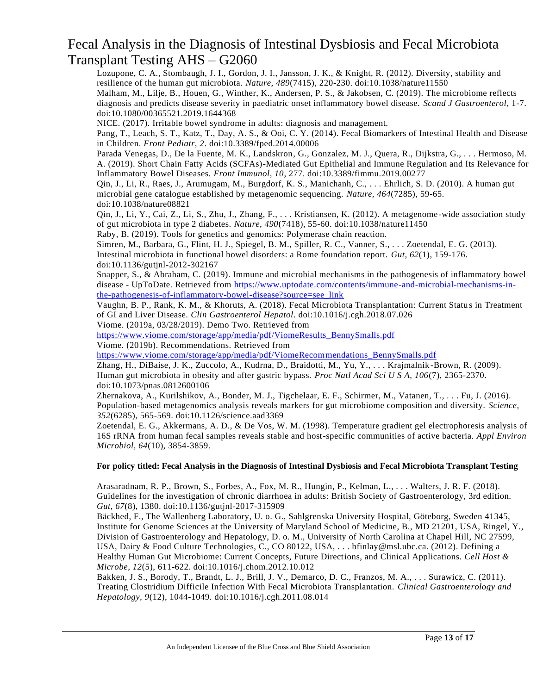Lozupone, C. A., Stombaugh, J. I., Gordon, J. I., Jansson, J. K., & Knight, R. (2012). Diversity, stability and resilience of the human gut microbiota. *Nature, 489*(7415), 220-230. doi:10.1038/nature11550 Malham, M., Lilje, B., Houen, G., Winther, K., Andersen, P. S., & Jakobsen, C. (2019). The microbiome reflects diagnosis and predicts disease severity in paediatric onset inflammatory bowel disease. *Scand J Gastroenterol*, 1-7. doi:10.1080/00365521.2019.1644368

NICE. (2017). Irritable bowel syndrome in adults: diagnosis and management.

Pang, T., Leach, S. T., Katz, T., Day, A. S., & Ooi, C. Y. (2014). Fecal Biomarkers of Intestinal Health and Disease in Children. *Front Pediatr, 2*. doi:10.3389/fped.2014.00006

Parada Venegas, D., De la Fuente, M. K., Landskron, G., Gonzalez, M. J., Quera, R., Dijkstra, G., . . . Hermoso, M. A. (2019). Short Chain Fatty Acids (SCFAs)-Mediated Gut Epithelial and Immune Regulation and Its Relevance for Inflammatory Bowel Diseases. *Front Immunol, 10*, 277. doi:10.3389/fimmu.2019.00277

Qin, J., Li, R., Raes, J., Arumugam, M., Burgdorf, K. S., Manichanh, C., . . . Ehrlich, S. D. (2010). A human gut microbial gene catalogue established by metagenomic sequencing. *Nature, 464*(7285), 59-65. doi:10.1038/nature08821

Qin, J., Li, Y., Cai, Z., Li, S., Zhu, J., Zhang, F., . . . Kristiansen, K. (2012). A metagenome-wide association study of gut microbiota in type 2 diabetes. *Nature, 490*(7418), 55-60. doi:10.1038/nature11450

Raby, B. (2019). Tools for genetics and genomics: Polymerase chain reaction.

Simren, M., Barbara, G., Flint, H. J., Spiegel, B. M., Spiller, R. C., Vanner, S., . . . Zoetendal, E. G. (2013). Intestinal microbiota in functional bowel disorders: a Rome foundation report. *Gut, 62*(1), 159-176. doi:10.1136/gutjnl-2012-302167

Snapper, S., & Abraham, C. (2019). Immune and microbial mechanisms in the pathogenesis of inflammatory bowel disease - UpToDate. Retrieved from [https://www.uptodate.com/contents/immune-and-microbial-mechanisms-in](https://www.uptodate.com/contents/immune-and-microbial-mechanisms-in-the-pathogenesis-of-inflammatory-bowel-disease?source=see_link)[the-pathogenesis-of-inflammatory-bowel-disease?source=see\\_link](https://www.uptodate.com/contents/immune-and-microbial-mechanisms-in-the-pathogenesis-of-inflammatory-bowel-disease?source=see_link)

Vaughn, B. P., Rank, K. M., & Khoruts, A. (2018). Fecal Microbiota Transplantation: Current Statu s in Treatment of GI and Liver Disease. *Clin Gastroenterol Hepatol*. doi:10.1016/j.cgh.2018.07.026

Viome. (2019a, 03/28/2019). Demo Two. Retrieved from

[https://www.viome.com/storage/app/media/pdf/ViomeResults\\_BennySmalls.pdf](https://www.viome.com/storage/app/media/pdf/ViomeResults_BennySmalls.pdf)

Viome. (2019b). Recommendations. Retrieved from

[https://www.viome.com/storage/app/media/pdf/ViomeRecommendations\\_BennySmalls.pdf](https://www.viome.com/storage/app/media/pdf/ViomeRecommendations_BennySmalls.pdf)

Zhang, H., DiBaise, J. K., Zuccolo, A., Kudrna, D., Braidotti, M., Yu, Y., . . . Krajmalnik -Brown, R. (2009). Human gut microbiota in obesity and after gastric bypass. *Proc Natl Acad Sci U S A, 106*(7), 2365-2370. doi:10.1073/pnas.0812600106

Zhernakova, A., Kurilshikov, A., Bonder, M. J., Tigchelaar, E. F., Schirmer, M., Vatanen, T., . . . Fu, J. (2016). Population-based metagenomics analysis reveals markers for gut microbiome composition and diversity. *Science, 352*(6285), 565-569. doi:10.1126/science.aad3369

Zoetendal, E. G., Akkermans, A. D., & De Vos, W. M. (1998). Temperature gradient gel electrophoresis analysis of 16S rRNA from human fecal samples reveals stable and host-specific communities of active bacteria. *Appl Environ Microbiol, 64*(10), 3854-3859.

#### **For policy titled: Fecal Analysis in the Diagnosis of Intestinal Dysbiosis and Fecal Microbiota Transplant Testing**

Arasaradnam, R. P., Brown, S., Forbes, A., Fox, M. R., Hungin, P., Kelman, L., . . . Walters, J. R. F. (2018). Guidelines for the investigation of chronic diarrhoea in adults: British Society of Gastroenterology, 3rd edition. *Gut, 67*(8), 1380. doi:10.1136/gutjnl-2017-315909

Bäckhed, F., The Wallenberg Laboratory, U. o. G., Sahlgrenska University Hospital, Göteborg, Sweden 41345, Institute for Genome Sciences at the University of Maryland School of Medicine, B., MD 21201, USA, Ringel, Y., Division of Gastroenterology and Hepatology, D. o. M., University of North Carolina at Chapel Hill, NC 27599, USA, Dairy & Food Culture Technologies, C., CO 80122, USA, . . . bfinlay@msl.ubc.ca. (2012). Defining a Healthy Human Gut Microbiome: Current Concepts, Future Directions, and Clinical Applications. *Cell Host & Microbe, 12*(5), 611-622. doi:10.1016/j.chom.2012.10.012

Bakken, J. S., Borody, T., Brandt, L. J., Brill, J. V., Demarco, D. C., Franzos, M. A., . . . Surawicz, C. (2011). Treating Clostridium Difficile Infection With Fecal Microbiota Transplantation. *Clinical Gastroenterology and Hepatology, 9*(12), 1044-1049. doi:10.1016/j.cgh.2011.08.014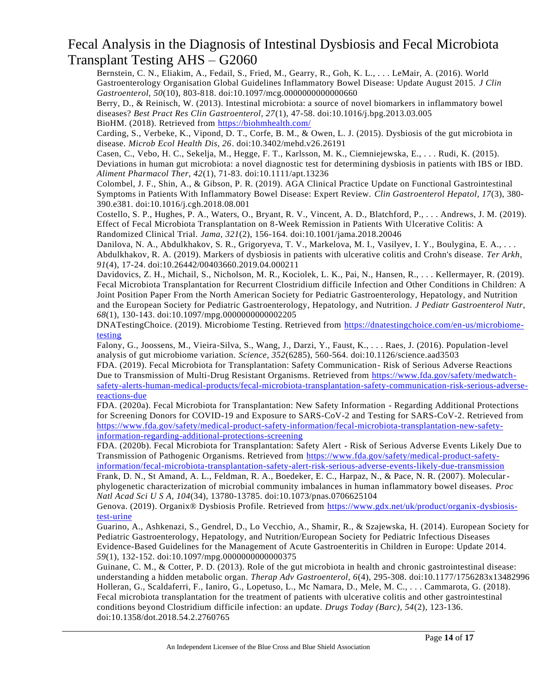Bernstein, C. N., Eliakim, A., Fedail, S., Fried, M., Gearry, R., Goh, K. L., . . . LeMair, A. (2016). World Gastroenterology Organisation Global Guidelines Inflammatory Bowel Disease: Update August 2015. *J Clin Gastroenterol, 50*(10), 803-818. doi:10.1097/mcg.0000000000000660

Berry, D., & Reinisch, W. (2013). Intestinal microbiota: a source of novel biomarkers in inflammatory bowel diseases? *Best Pract Res Clin Gastroenterol, 27*(1), 47-58. doi:10.1016/j.bpg.2013.03.005 BioHM. (2018). Retrieved from<https://biohmhealth.com/>

Carding, S., Verbeke, K., Vipond, D. T., Corfe, B. M., & Owen, L. J. (2015). Dysbiosis of the gut microbiota in disease. *Microb Ecol Health Dis, 26*. doi:10.3402/mehd.v26.26191

Casen, C., Vebo, H. C., Sekelja, M., Hegge, F. T., Karlsson, M. K., Ciemniejewska, E., . . . Rudi, K. (2015). Deviations in human gut microbiota: a novel diagnostic test for determining dysbiosis in patients with IBS or IBD. *Aliment Pharmacol Ther, 42*(1), 71-83. doi:10.1111/apt.13236

Colombel, J. F., Shin, A., & Gibson, P. R. (2019). AGA Clinical Practice Update on Functional Gastrointestinal Symptoms in Patients With Inflammatory Bowel Disease: Expert Review. *Clin Gastroenterol Hepatol, 17*(3), 380- 390.e381. doi:10.1016/j.cgh.2018.08.001

Costello, S. P., Hughes, P. A., Waters, O., Bryant, R. V., Vincent, A. D., Blatchford, P., . . . Andrews, J. M. (2019). Effect of Fecal Microbiota Transplantation on 8-Week Remission in Patients With Ulcerative Colitis: A Randomized Clinical Trial. *Jama, 321*(2), 156-164. doi:10.1001/jama.2018.20046

Danilova, N. A., Abdulkhakov, S. R., Grigoryeva, T. V., Markelova, M. I., Vasilyev, I. Y., Boulygina, E. A., . . . Abdulkhakov, R. A. (2019). Markers of dysbiosis in patients with ulcerative colitis and Crohn's disease. *Ter Arkh, 91*(4), 17-24. doi:10.26442/00403660.2019.04.000211

Davidovics, Z. H., Michail, S., Nicholson, M. R., Kociolek, L. K., Pai, N., Hansen, R., . . . Kellermayer, R. (2019). Fecal Microbiota Transplantation for Recurrent Clostridium difficile Infection and Other Conditions in Children: A Joint Position Paper From the North American Society for Pediatric Gastroenterology, Hepatology, and Nutrition and the European Society for Pediatric Gastroenterology, Hepatology, and Nutrition. *J Pediatr Gastroenterol Nutr, 68*(1), 130-143. doi:10.1097/mpg.0000000000002205

DNATestingChoice. (2019). Microbiome Testing. Retrieved from [https://dnatestingchoice.com/en-us/microbiome](https://dnatestingchoice.com/en-us/microbiome-testing)[testing](https://dnatestingchoice.com/en-us/microbiome-testing)

Falony, G., Joossens, M., Vieira-Silva, S., Wang, J., Darzi, Y., Faust, K., . . . Raes, J. (2016). Population-level analysis of gut microbiome variation. *Science, 352*(6285), 560-564. doi:10.1126/science.aad3503

FDA. (2019). Fecal Microbiota for Transplantation: Safety Communication- Risk of Serious Adverse Reactions Due to Transmission of Multi-Drug Resistant Organisms. Retrieved from [https://www.fda.gov/safety/medwatch](https://www.fda.gov/safety/medwatch-safety-alerts-human-medical-products/fecal-microbiota-transplantation-safety-communication-risk-serious-adverse-reactions-due)[safety-alerts-human-medical-products/fecal-microbiota-transplantation-safety-communication-risk-serious-adverse](https://www.fda.gov/safety/medwatch-safety-alerts-human-medical-products/fecal-microbiota-transplantation-safety-communication-risk-serious-adverse-reactions-due)[reactions-due](https://www.fda.gov/safety/medwatch-safety-alerts-human-medical-products/fecal-microbiota-transplantation-safety-communication-risk-serious-adverse-reactions-due)

FDA. (2020a). Fecal Microbiota for Transplantation: New Safety Information - Regarding Additional Protections for Screening Donors for COVID-19 and Exposure to SARS-CoV-2 and Testing for SARS-CoV-2. Retrieved from [https://www.fda.gov/safety/medical-product-safety-information/fecal-microbiota-transplantation-new-safety](https://www.fda.gov/safety/medical-product-safety-information/fecal-microbiota-transplantation-new-safety-information-regarding-additional-protections-screening)[information-regarding-additional-protections-screening](https://www.fda.gov/safety/medical-product-safety-information/fecal-microbiota-transplantation-new-safety-information-regarding-additional-protections-screening)

FDA. (2020b). Fecal Microbiota for Transplantation: Safety Alert - Risk of Serious Adverse Events Likely Due to Transmission of Pathogenic Organisms. Retrieved from [https://www.fda.gov/safety/medical-product-safety](https://www.fda.gov/safety/medical-product-safety-information/fecal-microbiota-transplantation-safety-alert-risk-serious-adverse-events-likely-due-transmission)[information/fecal-microbiota-transplantation-safety-alert-risk-serious-adverse-events-likely-due-transmission](https://www.fda.gov/safety/medical-product-safety-information/fecal-microbiota-transplantation-safety-alert-risk-serious-adverse-events-likely-due-transmission)

Frank, D. N., St Amand, A. L., Feldman, R. A., Boedeker, E. C., Harpaz, N., & Pace, N. R. (2007). Molecularphylogenetic characterization of microbial community imbalances in human inflammatory bowel diseases. *Proc Natl Acad Sci U S A, 104*(34), 13780-13785. doi:10.1073/pnas.0706625104

Genova. (2019). Organix® Dysbiosis Profile. Retrieved from [https://www.gdx.net/uk/product/organix-dysbiosis](https://www.gdx.net/uk/product/organix-dysbiosis-test-urine)[test-urine](https://www.gdx.net/uk/product/organix-dysbiosis-test-urine)

Guarino, A., Ashkenazi, S., Gendrel, D., Lo Vecchio, A., Shamir, R., & Szajewska, H. (2014). European Society for Pediatric Gastroenterology, Hepatology, and Nutrition/European Society for Pediatric Infectious Diseases Evidence-Based Guidelines for the Management of Acute Gastroenteritis in Children in Europe: Update 2014. *59*(1), 132-152. doi:10.1097/mpg.0000000000000375

Guinane, C. M., & Cotter, P. D. (2013). Role of the gut microbiota in health and chronic gastrointestinal disease: understanding a hidden metabolic organ. *Therap Adv Gastroenterol, 6*(4), 295-308. doi:10.1177/1756283x13482996 Holleran, G., Scaldaferri, F., Ianiro, G., Lopetuso, L., Mc Namara, D., Mele, M. C., . . . Cammarota, G. (2018). Fecal microbiota transplantation for the treatment of patients with ulcerative colitis and other gastrointestinal conditions beyond Clostridium difficile infection: an update. *Drugs Today (Barc), 54*(2), 123-136. doi:10.1358/dot.2018.54.2.2760765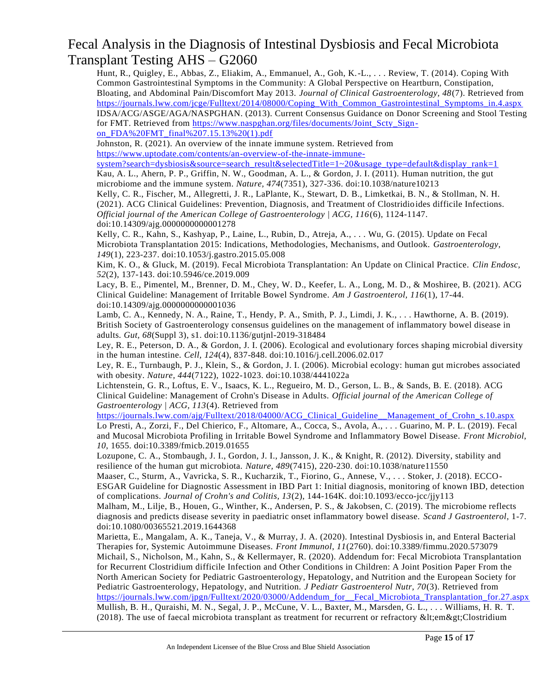Hunt, R., Quigley, E., Abbas, Z., Eliakim, A., Emmanuel, A., Goh, K.-L., . . . Review, T. (2014). Coping With Common Gastrointestinal Symptoms in the Community: A Global Perspective on Heartburn, Constipation, Bloating, and Abdominal Pain/Discomfort May 2013. *Journal of Clinical Gastroenterology, 48*(7). Retrieved from [https://journals.lww.com/jcge/Fulltext/2014/08000/Coping\\_With\\_Common\\_Gastrointestinal\\_Symptoms\\_in.4.aspx](https://journals.lww.com/jcge/Fulltext/2014/08000/Coping_With_Common_Gastrointestinal_Symptoms_in.4.aspx) IDSA/ACG/ASGE/AGA/NASPGHAN. (2013). Current Consensus Guidance on Donor Screening and Stool Testing for FMT. Retrieved from [https://www.naspghan.org/files/documents/Joint\\_Scty\\_Sign](https://www.naspghan.org/files/documents/Joint_Scty_Sign-on_FDA%20FMT_final%207.15.13%20(1).pdf)[on\\_FDA%20FMT\\_final%207.15.13%20\(1\).pdf](https://www.naspghan.org/files/documents/Joint_Scty_Sign-on_FDA%20FMT_final%207.15.13%20(1).pdf)

Johnston, R. (2021). An overview of the innate immune system. Retrieved from [https://www.uptodate.com/contents/an-overview-of-the-innate-immune](https://www.uptodate.com/contents/an-overview-of-the-innate-immune-system?search=dysbiosis&source=search_result&selectedTitle=1~20&usage_type=default&display_rank=1)[system?search=dysbiosis&source=search\\_result&selectedTitle=1~20&usage\\_type=default&display\\_rank=1](https://www.uptodate.com/contents/an-overview-of-the-innate-immune-system?search=dysbiosis&source=search_result&selectedTitle=1~20&usage_type=default&display_rank=1)

Kau, A. L., Ahern, P. P., Griffin, N. W., Goodman, A. L., & Gordon, J. I. (2011). Human nutrition, the gut microbiome and the immune system. *Nature, 474*(7351), 327-336. doi:10.1038/nature10213

Kelly, C. R., Fischer, M., Allegretti, J. R., LaPlante, K., Stewart, D. B., Limketkai, B. N., & Stollman, N. H. (2021). ACG Clinical Guidelines: Prevention, Diagnosis, and Treatment of Clostridio ides difficile Infections. *Official journal of the American College of Gastroenterology | ACG, 116*(6), 1124-1147. doi:10.14309/ajg.0000000000001278

Kelly, C. R., Kahn, S., Kashyap, P., Laine, L., Rubin, D., Atreja, A., . . . Wu, G. (2015). Update on Fecal Microbiota Transplantation 2015: Indications, Methodologies, Mechanisms, and Outlook. *Gastroenterology, 149*(1), 223-237. doi:10.1053/j.gastro.2015.05.008

Kim, K. O., & Gluck, M. (2019). Fecal Microbiota Transplantation: An Update on Clinical Practice. *Clin Endosc, 52*(2), 137-143. doi:10.5946/ce.2019.009

Lacy, B. E., Pimentel, M., Brenner, D. M., Chey, W. D., Keefer, L. A., Long, M. D., & Moshiree, B. (2021). ACG Clinical Guideline: Management of Irritable Bowel Syndrome. *Am J Gastroenterol, 116*(1), 17-44. doi:10.14309/ajg.0000000000001036

Lamb, C. A., Kennedy, N. A., Raine, T., Hendy, P. A., Smith, P. J., Limdi, J. K., . . . Hawthorne, A. B. (2019). British Society of Gastroenterology consensus guidelines on the management of inflammatory bowel disease in adults. *Gut, 68*(Suppl 3), s1. doi:10.1136/gutjnl-2019-318484

Ley, R. E., Peterson, D. A., & Gordon, J. I. (2006). Ecological and evolutionary forces shaping microbial diversity in the human intestine. *Cell, 124*(4), 837-848. doi:10.1016/j.cell.2006.02.017

Ley, R. E., Turnbaugh, P. J., Klein, S., & Gordon, J. I. (2006). Microbial ecology: human gut microbes associated with obesity. *Nature, 444*(7122), 1022-1023. doi:10.1038/4441022a

Lichtenstein, G. R., Loftus, E. V., Isaacs, K. L., Regueiro, M. D., Gerson, L. B., & Sands, B. E. (2018). ACG Clinical Guideline: Management of Crohn's Disease in Adults. *Official journal of the American College of Gastroenterology | ACG, 113*(4). Retrieved from

[https://journals.lww.com/ajg/Fulltext/2018/04000/ACG\\_Clinical\\_Guideline\\_\\_Management\\_of\\_Crohn\\_s.10.aspx](https://journals.lww.com/ajg/Fulltext/2018/04000/ACG_Clinical_Guideline__Management_of_Crohn_s.10.aspx) Lo Presti, A., Zorzi, F., Del Chierico, F., Altomare, A., Cocca, S., Avola, A., . . . Guarino, M. P. L. (2019). Fecal and Mucosal Microbiota Profiling in Irritable Bowel Syndrome and Inflammatory Bowel Disease. *Front Microbiol, 10*, 1655. doi:10.3389/fmicb.2019.01655

Lozupone, C. A., Stombaugh, J. I., Gordon, J. I., Jansson, J. K., & Knight, R. (2012). Diversity, stability and resilience of the human gut microbiota. *Nature, 489*(7415), 220-230. doi:10.1038/nature11550

Maaser, C., Sturm, A., Vavricka, S. R., Kucharzik, T., Fiorino, G., Annese, V., . . . Stoker, J. (2018). ECCO-ESGAR Guideline for Diagnostic Assessment in IBD Part 1: Initial diagnosis, monitoring of known IBD, detection of complications. *Journal of Crohn's and Colitis, 13*(2), 144-164K. doi:10.1093/ecco-jcc/jjy113

Malham, M., Lilje, B., Houen, G., Winther, K., Andersen, P. S., & Jakobsen, C. (2019). The microbiome reflects diagnosis and predicts disease severity in paediatric onset inflammatory bowel disease. *Scand J Gastroenterol*, 1-7. doi:10.1080/00365521.2019.1644368

Marietta, E., Mangalam, A. K., Taneja, V., & Murray, J. A. (2020). Intestinal Dysbiosis in, and Enteral Bacterial Therapies for, Systemic Autoimmune Diseases. *Front Immunol, 11*(2760). doi:10.3389/fimmu.2020.573079 Michail, S., Nicholson, M., Kahn, S., & Kellermayer, R. (2020). Addendum for: Fecal Microbiota Transplantation for Recurrent Clostridium difficile Infection and Other Conditions in Children: A Joint Position Paper From the North American Society for Pediatric Gastroenterology, Hepatology, and Nutrition and the European Society for Pediatric Gastroenterology, Hepatology, and Nutrition. *J Pediatr Gastroenterol Nutr, 70*(3). Retrieved from https://journals.lww.com/jpgn/Fulltext/2020/03000/Addendum\_for\_Fecal\_Microbiota\_Transplantation\_for.27.aspx Mullish, B. H., Quraishi, M. N., Segal, J. P., McCune, V. L., Baxter, M., Marsden, G. L., . . . Williams, H. R. T. (2018). The use of faecal microbiota transplant as treatment for recurrent or refractory &It;em>Clostridium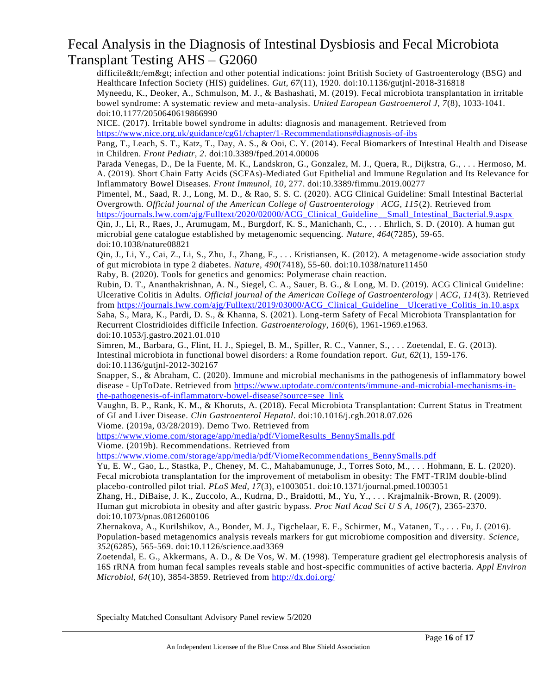difficile</em&gt; infection and other potential indications: joint British Society of Gastroenterology (BSG) and Healthcare Infection Society (HIS) guidelines. *Gut, 67*(11), 1920. doi:10.1136/gutjnl-2018-316818 Myneedu, K., Deoker, A., Schmulson, M. J., & Bashashati, M. (2019). Fecal microbiota transplantation in irritable bowel syndrome: A systematic review and meta-analysis. *United European Gastroenterol J, 7*(8), 1033-1041. doi:10.1177/2050640619866990

NICE. (2017). Irritable bowel syndrome in adults: diagnosis and management. Retrieved from <https://www.nice.org.uk/guidance/cg61/chapter/1-Recommendations#diagnosis-of-ibs>

Pang, T., Leach, S. T., Katz, T., Day, A. S., & Ooi, C. Y. (2014). Fecal Biomarkers of Intestinal Health and Disease in Children. *Front Pediatr, 2*. doi:10.3389/fped.2014.00006

Parada Venegas, D., De la Fuente, M. K., Landskron, G., Gonzalez, M. J., Quera, R., Dijkstra, G., . . . Hermoso, M. A. (2019). Short Chain Fatty Acids (SCFAs)-Mediated Gut Epithelial and Immune Regulation and Its Relevance for Inflammatory Bowel Diseases. *Front Immunol, 10*, 277. doi:10.3389/fimmu.2019.00277

Pimentel, M., Saad, R. J., Long, M. D., & Rao, S. S. C. (2020). ACG Clinical Guideline: Small Intestinal Bacterial Overgrowth. *Official journal of the American College of Gastroenterology | ACG, 115*(2). Retrieved from https://journals.lww.com/ajg/Fulltext/2020/02000/ACG Clinical Guideline Small Intestinal Bacterial.9.aspx

Qin, J., Li, R., Raes, J., Arumugam, M., Burgdorf, K. S., Manichanh, C., . . . Ehrlich, S. D. (2010). A human gut microbial gene catalogue established by metagenomic sequencing. *Nature, 464*(7285), 59-65. doi:10.1038/nature08821

Qin, J., Li, Y., Cai, Z., Li, S., Zhu, J., Zhang, F., . . . Kristiansen, K. (2012). A metagenome-wide association study of gut microbiota in type 2 diabetes. *Nature, 490*(7418), 55-60. doi:10.1038/nature11450 Raby, B. (2020). Tools for genetics and genomics: Polymerase chain reaction.

Rubin, D. T., Ananthakrishnan, A. N., Siegel, C. A., Sauer, B. G., & Long, M. D. (2019). ACG Clinical Guideline: Ulcerative Colitis in Adults. *Official journal of the American College of Gastroenterology | ACG, 114*(3). Retrieved from [https://journals.lww.com/ajg/Fulltext/2019/03000/ACG\\_Clinical\\_Guideline\\_\\_Ulcerative\\_Colitis\\_in.10.aspx](https://journals.lww.com/ajg/Fulltext/2019/03000/ACG_Clinical_Guideline__Ulcerative_Colitis_in.10.aspx) Saha, S., Mara, K., Pardi, D. S., & Khanna, S. (2021). Long-term Safety of Fecal Microbiota Transplantation for Recurrent Clostridioides difficile Infection. *Gastroenterology, 160*(6), 1961-1969.e1963. doi:10.1053/j.gastro.2021.01.010

Simren, M., Barbara, G., Flint, H. J., Spiegel, B. M., Spiller, R. C., Vanner, S., . . . Zoetendal, E. G. (2013). Intestinal microbiota in functional bowel disorders: a Rome foundation report. *Gut, 62*(1), 159-176. doi:10.1136/gutjnl-2012-302167

Snapper, S., & Abraham, C. (2020). Immune and microbial mechanisms in the pathogenesis of inflammatory bowel disease - UpToDate. Retrieved from [https://www.uptodate.com/contents/immune-and-microbial-mechanisms-in](https://www.uptodate.com/contents/immune-and-microbial-mechanisms-in-the-pathogenesis-of-inflammatory-bowel-disease?source=see_link)[the-pathogenesis-of-inflammatory-bowel-disease?source=see\\_link](https://www.uptodate.com/contents/immune-and-microbial-mechanisms-in-the-pathogenesis-of-inflammatory-bowel-disease?source=see_link)

Vaughn, B. P., Rank, K. M., & Khoruts, A. (2018). Fecal Microbiota Transplantation: Current Status in Treatment of GI and Liver Disease. *Clin Gastroenterol Hepatol*. doi:10.1016/j.cgh.2018.07.026 Viome. (2019a, 03/28/2019). Demo Two. Retrieved from

[https://www.viome.com/storage/app/media/pdf/ViomeResults\\_BennySmalls.pdf](https://www.viome.com/storage/app/media/pdf/ViomeResults_BennySmalls.pdf)

Viome. (2019b). Recommendations. Retrieved from

[https://www.viome.com/storage/app/media/pdf/ViomeRecommendations\\_BennySmalls.pdf](https://www.viome.com/storage/app/media/pdf/ViomeRecommendations_BennySmalls.pdf)

Yu, E. W., Gao, L., Stastka, P., Cheney, M. C., Mahabamunuge, J., Torres Soto, M., . . . Hohmann, E. L. (2020). Fecal microbiota transplantation for the improvement of metabolism in obesity: The FMT-TRIM double-blind placebo-controlled pilot trial. *PLoS Med, 17*(3), e1003051. doi:10.1371/journal.pmed.1003051

Zhang, H., DiBaise, J. K., Zuccolo, A., Kudrna, D., Braidotti, M., Yu, Y., . . . Krajmalnik -Brown, R. (2009). Human gut microbiota in obesity and after gastric bypass. *Proc Natl Acad Sci U S A, 106*(7), 2365-2370. doi:10.1073/pnas.0812600106

Zhernakova, A., Kurilshikov, A., Bonder, M. J., Tigchelaar, E. F., Schirmer, M., Vatanen, T., . . . Fu, J. (2016). Population-based metagenomics analysis reveals markers for gut microbiome composition and diversity. *Science, 352*(6285), 565-569. doi:10.1126/science.aad3369

Zoetendal, E. G., Akkermans, A. D., & De Vos, W. M. (1998). Temperature gradient gel electrophoresis analysis of 16S rRNA from human fecal samples reveals stable and host-specific communities of active bacteria. *Appl Environ Microbiol, 64*(10), 3854-3859. Retrieved from<http://dx.doi.org/>

Specialty Matched Consultant Advisory Panel review 5/2020